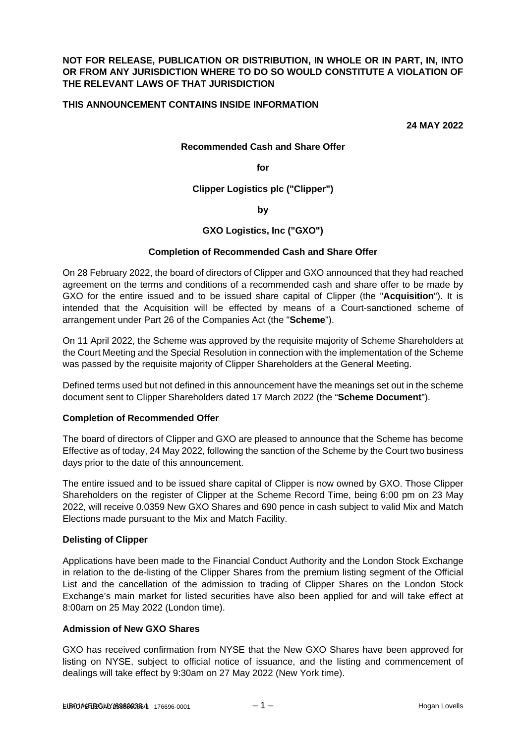## **NOT FOR RELEASE, PUBLICATION OR DISTRIBUTION, IN WHOLE OR IN PART, IN, INTO OR FROM ANY JURISDICTION WHERE TO DO SO WOULD CONSTITUTE A VIOLATION OF THE RELEVANT LAWS OF THAT JURISDICTION**

## **THIS ANNOUNCEMENT CONTAINS INSIDE INFORMATION**

**24 MAY 2022** 

#### **Recommended Cash and Share Offer**

**for** 

#### **Clipper Logistics plc ("Clipper")**

**by** 

## **GXO Logistics, Inc ("GXO")**

#### **Completion of Recommended Cash and Share Offer**

On 28 February 2022, the board of directors of Clipper and GXO announced that they had reached agreement on the terms and conditions of a recommended cash and share offer to be made by GXO for the entire issued and to be issued share capital of Clipper (the "**Acquisition**"). It is intended that the Acquisition will be effected by means of a Court-sanctioned scheme of arrangement under Part 26 of the Companies Act (the "**Scheme**").

On 11 April 2022, the Scheme was approved by the requisite majority of Scheme Shareholders at the Court Meeting and the Special Resolution in connection with the implementation of the Scheme was passed by the requisite majority of Clipper Shareholders at the General Meeting.

Defined terms used but not defined in this announcement have the meanings set out in the scheme document sent to Clipper Shareholders dated 17 March 2022 (the "**Scheme Document**").

#### **Completion of Recommended Offer**

The board of directors of Clipper and GXO are pleased to announce that the Scheme has become Effective as of today, 24 May 2022, following the sanction of the Scheme by the Court two business days prior to the date of this announcement.

The entire issued and to be issued share capital of Clipper is now owned by GXO. Those Clipper Shareholders on the register of Clipper at the Scheme Record Time, being 6:00 pm on 23 May 2022, will receive 0.0359 New GXO Shares and 690 pence in cash subject to valid Mix and Match Elections made pursuant to the Mix and Match Facility.

#### **Delisting of Clipper**

Applications have been made to the Financial Conduct Authority and the London Stock Exchange in relation to the de-listing of the Clipper Shares from the premium listing segment of the Official List and the cancellation of the admission to trading of Clipper Shares on the London Stock Exchange's main market for listed securities have also been applied for and will take effect at 8:00am on 25 May 2022 (London time).

## **Admission of New GXO Shares**

GXO has received confirmation from NYSE that the New GXO Shares have been approved for listing on NYSE, subject to official notice of issuance, and the listing and commencement of dealings will take effect by 9:30am on 27 May 2022 (New York time).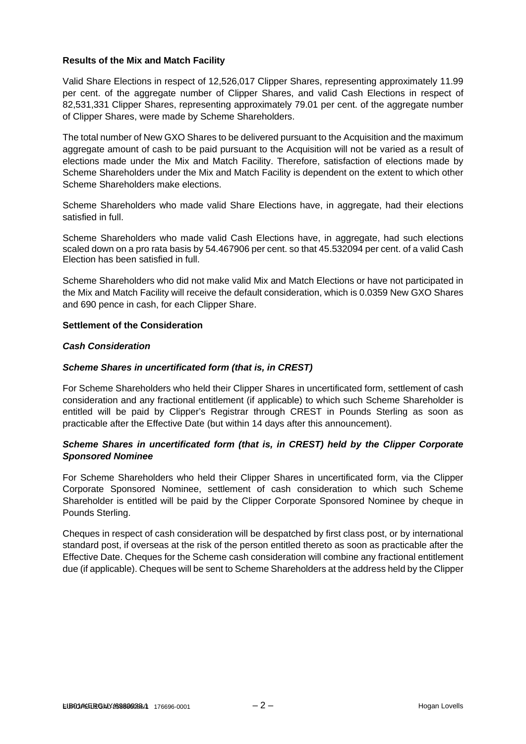## **Results of the Mix and Match Facility**

Valid Share Elections in respect of 12,526,017 Clipper Shares, representing approximately 11.99 per cent. of the aggregate number of Clipper Shares, and valid Cash Elections in respect of 82,531,331 Clipper Shares, representing approximately 79.01 per cent. of the aggregate number of Clipper Shares, were made by Scheme Shareholders.

The total number of New GXO Shares to be delivered pursuant to the Acquisition and the maximum aggregate amount of cash to be paid pursuant to the Acquisition will not be varied as a result of elections made under the Mix and Match Facility. Therefore, satisfaction of elections made by Scheme Shareholders under the Mix and Match Facility is dependent on the extent to which other Scheme Shareholders make elections.

Scheme Shareholders who made valid Share Elections have, in aggregate, had their elections satisfied in full.

Scheme Shareholders who made valid Cash Elections have, in aggregate, had such elections scaled down on a pro rata basis by 54.467906 per cent. so that 45.532094 per cent. of a valid Cash Election has been satisfied in full.

Scheme Shareholders who did not make valid Mix and Match Elections or have not participated in the Mix and Match Facility will receive the default consideration, which is 0.0359 New GXO Shares and 690 pence in cash, for each Clipper Share.

#### **Settlement of the Consideration**

#### *Cash Consideration*

## *Scheme Shares in uncertificated form (that is, in CREST)*

For Scheme Shareholders who held their Clipper Shares in uncertificated form, settlement of cash consideration and any fractional entitlement (if applicable) to which such Scheme Shareholder is entitled will be paid by Clipper's Registrar through CREST in Pounds Sterling as soon as practicable after the Effective Date (but within 14 days after this announcement).

# *Scheme Shares in uncertificated form (that is, in CREST) held by the Clipper Corporate Sponsored Nominee*

For Scheme Shareholders who held their Clipper Shares in uncertificated form, via the Clipper Corporate Sponsored Nominee, settlement of cash consideration to which such Scheme Shareholder is entitled will be paid by the Clipper Corporate Sponsored Nominee by cheque in Pounds Sterling.

Cheques in respect of cash consideration will be despatched by first class post, or by international standard post, if overseas at the risk of the person entitled thereto as soon as practicable after the Effective Date. Cheques for the Scheme cash consideration will combine any fractional entitlement due (if applicable). Cheques will be sent to Scheme Shareholders at the address held by the Clipper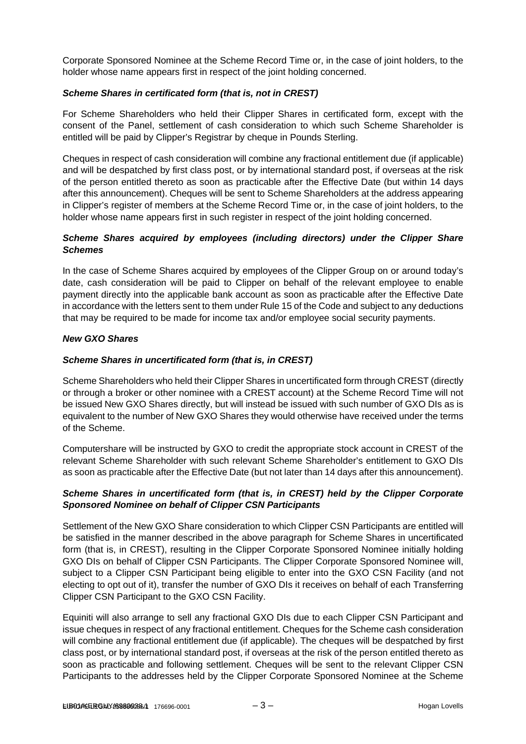Corporate Sponsored Nominee at the Scheme Record Time or, in the case of joint holders, to the holder whose name appears first in respect of the joint holding concerned.

## *Scheme Shares in certificated form (that is, not in CREST)*

For Scheme Shareholders who held their Clipper Shares in certificated form, except with the consent of the Panel, settlement of cash consideration to which such Scheme Shareholder is entitled will be paid by Clipper's Registrar by cheque in Pounds Sterling.

Cheques in respect of cash consideration will combine any fractional entitlement due (if applicable) and will be despatched by first class post, or by international standard post, if overseas at the risk of the person entitled thereto as soon as practicable after the Effective Date (but within 14 days after this announcement). Cheques will be sent to Scheme Shareholders at the address appearing in Clipper's register of members at the Scheme Record Time or, in the case of joint holders, to the holder whose name appears first in such register in respect of the joint holding concerned.

# *Scheme Shares acquired by employees (including directors) under the Clipper Share Schemes*

In the case of Scheme Shares acquired by employees of the Clipper Group on or around today's date, cash consideration will be paid to Clipper on behalf of the relevant employee to enable payment directly into the applicable bank account as soon as practicable after the Effective Date in accordance with the letters sent to them under Rule 15 of the Code and subject to any deductions that may be required to be made for income tax and/or employee social security payments.

## *New GXO Shares*

# *Scheme Shares in uncertificated form (that is, in CREST)*

Scheme Shareholders who held their Clipper Shares in uncertificated form through CREST (directly or through a broker or other nominee with a CREST account) at the Scheme Record Time will not be issued New GXO Shares directly, but will instead be issued with such number of GXO DIs as is equivalent to the number of New GXO Shares they would otherwise have received under the terms of the Scheme.

Computershare will be instructed by GXO to credit the appropriate stock account in CREST of the relevant Scheme Shareholder with such relevant Scheme Shareholder's entitlement to GXO DIs as soon as practicable after the Effective Date (but not later than 14 days after this announcement).

## *Scheme Shares in uncertificated form (that is, in CREST) held by the Clipper Corporate Sponsored Nominee on behalf of Clipper CSN Participants*

Settlement of the New GXO Share consideration to which Clipper CSN Participants are entitled will be satisfied in the manner described in the above paragraph for Scheme Shares in uncertificated form (that is, in CREST), resulting in the Clipper Corporate Sponsored Nominee initially holding GXO DIs on behalf of Clipper CSN Participants. The Clipper Corporate Sponsored Nominee will, subject to a Clipper CSN Participant being eligible to enter into the GXO CSN Facility (and not electing to opt out of it), transfer the number of GXO DIs it receives on behalf of each Transferring Clipper CSN Participant to the GXO CSN Facility.

Equiniti will also arrange to sell any fractional GXO DIs due to each Clipper CSN Participant and issue cheques in respect of any fractional entitlement. Cheques for the Scheme cash consideration will combine any fractional entitlement due (if applicable). The cheques will be despatched by first class post, or by international standard post, if overseas at the risk of the person entitled thereto as soon as practicable and following settlement. Cheques will be sent to the relevant Clipper CSN Participants to the addresses held by the Clipper Corporate Sponsored Nominee at the Scheme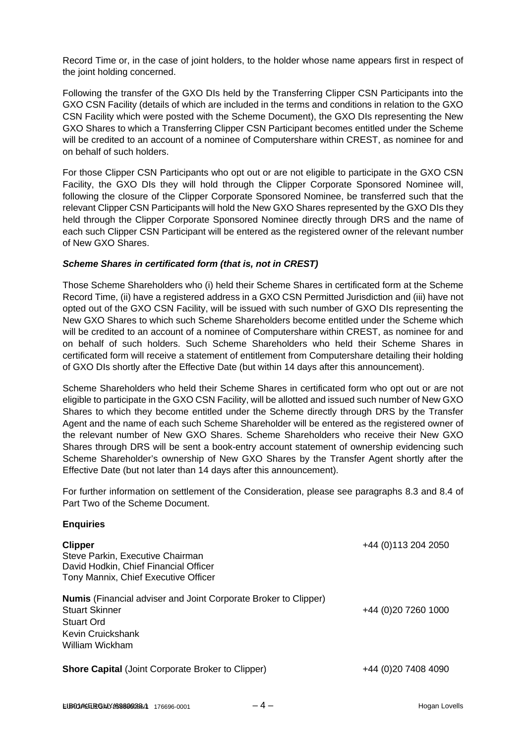Record Time or, in the case of joint holders, to the holder whose name appears first in respect of the joint holding concerned.

Following the transfer of the GXO DIs held by the Transferring Clipper CSN Participants into the GXO CSN Facility (details of which are included in the terms and conditions in relation to the GXO CSN Facility which were posted with the Scheme Document), the GXO DIs representing the New GXO Shares to which a Transferring Clipper CSN Participant becomes entitled under the Scheme will be credited to an account of a nominee of Computershare within CREST, as nominee for and on behalf of such holders.

For those Clipper CSN Participants who opt out or are not eligible to participate in the GXO CSN Facility, the GXO DIs they will hold through the Clipper Corporate Sponsored Nominee will, following the closure of the Clipper Corporate Sponsored Nominee, be transferred such that the relevant Clipper CSN Participants will hold the New GXO Shares represented by the GXO DIs they held through the Clipper Corporate Sponsored Nominee directly through DRS and the name of each such Clipper CSN Participant will be entered as the registered owner of the relevant number of New GXO Shares.

## *Scheme Shares in certificated form (that is, not in CREST)*

Those Scheme Shareholders who (i) held their Scheme Shares in certificated form at the Scheme Record Time, (ii) have a registered address in a GXO CSN Permitted Jurisdiction and (iii) have not opted out of the GXO CSN Facility, will be issued with such number of GXO DIs representing the New GXO Shares to which such Scheme Shareholders become entitled under the Scheme which will be credited to an account of a nominee of Computershare within CREST, as nominee for and on behalf of such holders. Such Scheme Shareholders who held their Scheme Shares in certificated form will receive a statement of entitlement from Computershare detailing their holding of GXO DIs shortly after the Effective Date (but within 14 days after this announcement).

Scheme Shareholders who held their Scheme Shares in certificated form who opt out or are not eligible to participate in the GXO CSN Facility, will be allotted and issued such number of New GXO Shares to which they become entitled under the Scheme directly through DRS by the Transfer Agent and the name of each such Scheme Shareholder will be entered as the registered owner of the relevant number of New GXO Shares. Scheme Shareholders who receive their New GXO Shares through DRS will be sent a book-entry account statement of ownership evidencing such Scheme Shareholder's ownership of New GXO Shares by the Transfer Agent shortly after the Effective Date (but not later than 14 days after this announcement).

For further information on settlement of the Consideration, please see paragraphs 8.3 and 8.4 of Part Two of the Scheme Document.

#### **Enquiries**

| <b>Clipper</b><br>Steve Parkin, Executive Chairman<br>David Hodkin, Chief Financial Officer<br>Tony Mannix, Chief Executive Officer                   | +44 (0) 113 204 2050 |
|-------------------------------------------------------------------------------------------------------------------------------------------------------|----------------------|
| <b>Numis</b> (Financial adviser and Joint Corporate Broker to Clipper)<br><b>Stuart Skinner</b><br>Stuart Ord<br>Kevin Cruickshank<br>William Wickham | +44 (0)20 7260 1000  |
| <b>Shore Capital (Joint Corporate Broker to Clipper)</b>                                                                                              | +44 (0)20 7408 4090  |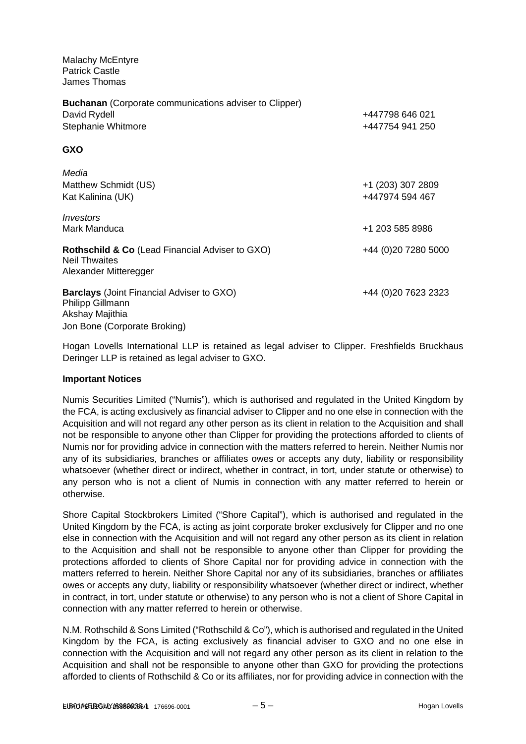Malachy McEntyre Patrick Castle James Thomas

| <b>Buchanan</b> (Corporate communications adviser to Clipper)                                               |                     |  |
|-------------------------------------------------------------------------------------------------------------|---------------------|--|
| David Rydell                                                                                                | +447798 646 021     |  |
| Stephanie Whitmore                                                                                          | +447754 941 250     |  |
| <b>GXO</b>                                                                                                  |                     |  |
| Media                                                                                                       |                     |  |
| Matthew Schmidt (US)                                                                                        | +1 (203) 307 2809   |  |
| Kat Kalinina (UK)                                                                                           | +447974 594 467     |  |
| Investors                                                                                                   |                     |  |
| Mark Manduca                                                                                                | +1 203 585 8986     |  |
| <b>Rothschild &amp; Co</b> (Lead Financial Adviser to GXO)<br><b>Neil Thwaites</b><br>Alexander Mitteregger | +44 (0)20 7280 5000 |  |
| <b>Barclays</b> (Joint Financial Adviser to GXO)<br><b>Philipp Gillmann</b><br>Akshay Majithia              | +44 (0)20 7623 2323 |  |
| Jon Bone (Corporate Broking)                                                                                |                     |  |

Hogan Lovells International LLP is retained as legal adviser to Clipper. Freshfields Bruckhaus Deringer LLP is retained as legal adviser to GXO.

#### **Important Notices**

Numis Securities Limited ("Numis"), which is authorised and regulated in the United Kingdom by the FCA, is acting exclusively as financial adviser to Clipper and no one else in connection with the Acquisition and will not regard any other person as its client in relation to the Acquisition and shall not be responsible to anyone other than Clipper for providing the protections afforded to clients of Numis nor for providing advice in connection with the matters referred to herein. Neither Numis nor any of its subsidiaries, branches or affiliates owes or accepts any duty, liability or responsibility whatsoever (whether direct or indirect, whether in contract, in tort, under statute or otherwise) to any person who is not a client of Numis in connection with any matter referred to herein or otherwise.

Shore Capital Stockbrokers Limited ("Shore Capital"), which is authorised and regulated in the United Kingdom by the FCA, is acting as joint corporate broker exclusively for Clipper and no one else in connection with the Acquisition and will not regard any other person as its client in relation to the Acquisition and shall not be responsible to anyone other than Clipper for providing the protections afforded to clients of Shore Capital nor for providing advice in connection with the matters referred to herein. Neither Shore Capital nor any of its subsidiaries, branches or affiliates owes or accepts any duty, liability or responsibility whatsoever (whether direct or indirect, whether in contract, in tort, under statute or otherwise) to any person who is not a client of Shore Capital in connection with any matter referred to herein or otherwise.

N.M. Rothschild & Sons Limited ("Rothschild & Co"), which is authorised and regulated in the United Kingdom by the FCA, is acting exclusively as financial adviser to GXO and no one else in connection with the Acquisition and will not regard any other person as its client in relation to the Acquisition and shall not be responsible to anyone other than GXO for providing the protections afforded to clients of Rothschild & Co or its affiliates, nor for providing advice in connection with the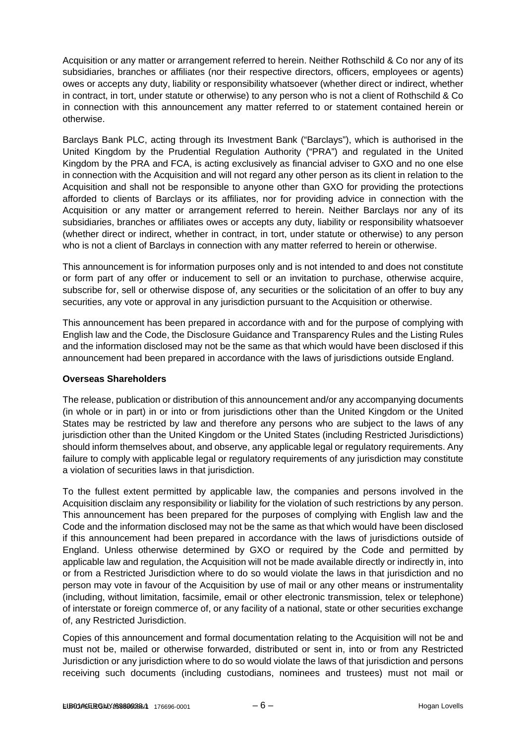Acquisition or any matter or arrangement referred to herein. Neither Rothschild & Co nor any of its subsidiaries, branches or affiliates (nor their respective directors, officers, employees or agents) owes or accepts any duty, liability or responsibility whatsoever (whether direct or indirect, whether in contract, in tort, under statute or otherwise) to any person who is not a client of Rothschild & Co in connection with this announcement any matter referred to or statement contained herein or otherwise.

Barclays Bank PLC, acting through its Investment Bank ("Barclays"), which is authorised in the United Kingdom by the Prudential Regulation Authority ("PRA") and regulated in the United Kingdom by the PRA and FCA, is acting exclusively as financial adviser to GXO and no one else in connection with the Acquisition and will not regard any other person as its client in relation to the Acquisition and shall not be responsible to anyone other than GXO for providing the protections afforded to clients of Barclays or its affiliates, nor for providing advice in connection with the Acquisition or any matter or arrangement referred to herein. Neither Barclays nor any of its subsidiaries, branches or affiliates owes or accepts any duty, liability or responsibility whatsoever (whether direct or indirect, whether in contract, in tort, under statute or otherwise) to any person who is not a client of Barclays in connection with any matter referred to herein or otherwise.

This announcement is for information purposes only and is not intended to and does not constitute or form part of any offer or inducement to sell or an invitation to purchase, otherwise acquire, subscribe for, sell or otherwise dispose of, any securities or the solicitation of an offer to buy any securities, any vote or approval in any jurisdiction pursuant to the Acquisition or otherwise.

This announcement has been prepared in accordance with and for the purpose of complying with English law and the Code, the Disclosure Guidance and Transparency Rules and the Listing Rules and the information disclosed may not be the same as that which would have been disclosed if this announcement had been prepared in accordance with the laws of jurisdictions outside England.

# **Overseas Shareholders**

The release, publication or distribution of this announcement and/or any accompanying documents (in whole or in part) in or into or from jurisdictions other than the United Kingdom or the United States may be restricted by law and therefore any persons who are subject to the laws of any jurisdiction other than the United Kingdom or the United States (including Restricted Jurisdictions) should inform themselves about, and observe, any applicable legal or regulatory requirements. Any failure to comply with applicable legal or regulatory requirements of any jurisdiction may constitute a violation of securities laws in that jurisdiction.

To the fullest extent permitted by applicable law, the companies and persons involved in the Acquisition disclaim any responsibility or liability for the violation of such restrictions by any person. This announcement has been prepared for the purposes of complying with English law and the Code and the information disclosed may not be the same as that which would have been disclosed if this announcement had been prepared in accordance with the laws of jurisdictions outside of England. Unless otherwise determined by GXO or required by the Code and permitted by applicable law and regulation, the Acquisition will not be made available directly or indirectly in, into or from a Restricted Jurisdiction where to do so would violate the laws in that jurisdiction and no person may vote in favour of the Acquisition by use of mail or any other means or instrumentality (including, without limitation, facsimile, email or other electronic transmission, telex or telephone) of interstate or foreign commerce of, or any facility of a national, state or other securities exchange of, any Restricted Jurisdiction.

Copies of this announcement and formal documentation relating to the Acquisition will not be and must not be, mailed or otherwise forwarded, distributed or sent in, into or from any Restricted Jurisdiction or any jurisdiction where to do so would violate the laws of that jurisdiction and persons receiving such documents (including custodians, nominees and trustees) must not mail or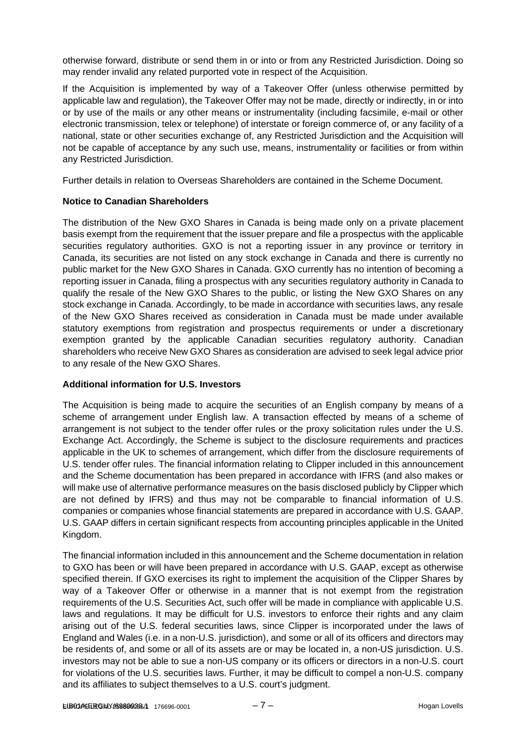otherwise forward, distribute or send them in or into or from any Restricted Jurisdiction. Doing so may render invalid any related purported vote in respect of the Acquisition.

If the Acquisition is implemented by way of a Takeover Offer (unless otherwise permitted by applicable law and regulation), the Takeover Offer may not be made, directly or indirectly, in or into or by use of the mails or any other means or instrumentality (including facsimile, e-mail or other electronic transmission, telex or telephone) of interstate or foreign commerce of, or any facility of a national, state or other securities exchange of, any Restricted Jurisdiction and the Acquisition will not be capable of acceptance by any such use, means, instrumentality or facilities or from within any Restricted Jurisdiction.

Further details in relation to Overseas Shareholders are contained in the Scheme Document.

# **Notice to Canadian Shareholders**

The distribution of the New GXO Shares in Canada is being made only on a private placement basis exempt from the requirement that the issuer prepare and file a prospectus with the applicable securities regulatory authorities. GXO is not a reporting issuer in any province or territory in Canada, its securities are not listed on any stock exchange in Canada and there is currently no public market for the New GXO Shares in Canada. GXO currently has no intention of becoming a reporting issuer in Canada, filing a prospectus with any securities regulatory authority in Canada to qualify the resale of the New GXO Shares to the public, or listing the New GXO Shares on any stock exchange in Canada. Accordingly, to be made in accordance with securities laws, any resale of the New GXO Shares received as consideration in Canada must be made under available statutory exemptions from registration and prospectus requirements or under a discretionary exemption granted by the applicable Canadian securities regulatory authority. Canadian shareholders who receive New GXO Shares as consideration are advised to seek legal advice prior to any resale of the New GXO Shares.

# **Additional information for U.S. Investors**

The Acquisition is being made to acquire the securities of an English company by means of a scheme of arrangement under English law. A transaction effected by means of a scheme of arrangement is not subject to the tender offer rules or the proxy solicitation rules under the U.S. Exchange Act. Accordingly, the Scheme is subject to the disclosure requirements and practices applicable in the UK to schemes of arrangement, which differ from the disclosure requirements of U.S. tender offer rules. The financial information relating to Clipper included in this announcement and the Scheme documentation has been prepared in accordance with IFRS (and also makes or will make use of alternative performance measures on the basis disclosed publicly by Clipper which are not defined by IFRS) and thus may not be comparable to financial information of U.S. companies or companies whose financial statements are prepared in accordance with U.S. GAAP. U.S. GAAP differs in certain significant respects from accounting principles applicable in the United Kingdom.

The financial information included in this announcement and the Scheme documentation in relation to GXO has been or will have been prepared in accordance with U.S. GAAP, except as otherwise specified therein. If GXO exercises its right to implement the acquisition of the Clipper Shares by way of a Takeover Offer or otherwise in a manner that is not exempt from the registration requirements of the U.S. Securities Act, such offer will be made in compliance with applicable U.S. laws and regulations. It may be difficult for U.S. investors to enforce their rights and any claim arising out of the U.S. federal securities laws, since Clipper is incorporated under the laws of England and Wales (i.e. in a non-U.S. jurisdiction), and some or all of its officers and directors may be residents of, and some or all of its assets are or may be located in, a non-US jurisdiction. U.S. investors may not be able to sue a non-US company or its officers or directors in a non-U.S. court for violations of the U.S. securities laws. Further, it may be difficult to compel a non-U.S. company and its affiliates to subject themselves to a U.S. court's judgment.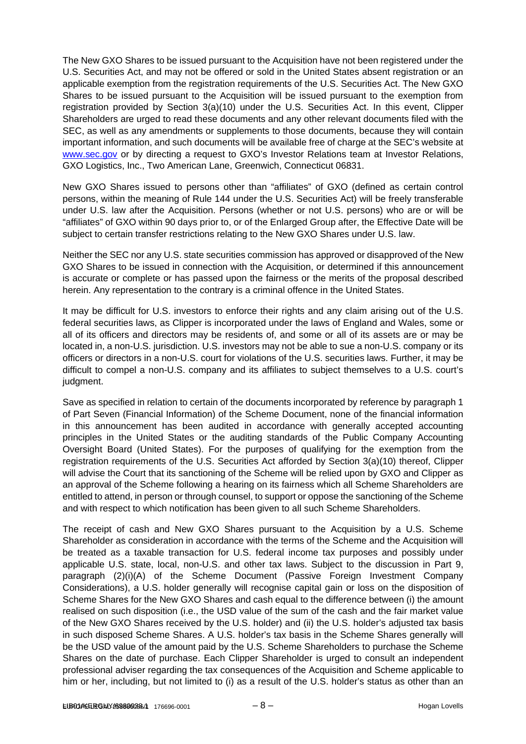The New GXO Shares to be issued pursuant to the Acquisition have not been registered under the U.S. Securities Act, and may not be offered or sold in the United States absent registration or an applicable exemption from the registration requirements of the U.S. Securities Act. The New GXO Shares to be issued pursuant to the Acquisition will be issued pursuant to the exemption from registration provided by Section 3(a)(10) under the U.S. Securities Act. In this event, Clipper Shareholders are urged to read these documents and any other relevant documents filed with the SEC, as well as any amendments or supplements to those documents, because they will contain important information, and such documents will be available free of charge at the SEC's website at [www.sec.gov](http://www.sec.gov/) or by directing a request to GXO's Investor Relations team at Investor Relations, GXO Logistics, Inc., Two American Lane, Greenwich, Connecticut 06831.

New GXO Shares issued to persons other than "affiliates" of GXO (defined as certain control persons, within the meaning of Rule 144 under the U.S. Securities Act) will be freely transferable under U.S. law after the Acquisition. Persons (whether or not U.S. persons) who are or will be "affiliates" of GXO within 90 days prior to, or of the Enlarged Group after, the Effective Date will be subject to certain transfer restrictions relating to the New GXO Shares under U.S. law.

Neither the SEC nor any U.S. state securities commission has approved or disapproved of the New GXO Shares to be issued in connection with the Acquisition, or determined if this announcement is accurate or complete or has passed upon the fairness or the merits of the proposal described herein. Any representation to the contrary is a criminal offence in the United States.

It may be difficult for U.S. investors to enforce their rights and any claim arising out of the U.S. federal securities laws, as Clipper is incorporated under the laws of England and Wales, some or all of its officers and directors may be residents of, and some or all of its assets are or may be located in, a non-U.S. jurisdiction. U.S. investors may not be able to sue a non-U.S. company or its officers or directors in a non-U.S. court for violations of the U.S. securities laws. Further, it may be difficult to compel a non-U.S. company and its affiliates to subject themselves to a U.S. court's judgment.

Save as specified in relation to certain of the documents incorporated by reference by paragraph 1 of Part Seven (Financial Information) of the Scheme Document, none of the financial information in this announcement has been audited in accordance with generally accepted accounting principles in the United States or the auditing standards of the Public Company Accounting Oversight Board (United States). For the purposes of qualifying for the exemption from the registration requirements of the U.S. Securities Act afforded by Section 3(a)(10) thereof, Clipper will advise the Court that its sanctioning of the Scheme will be relied upon by GXO and Clipper as an approval of the Scheme following a hearing on its fairness which all Scheme Shareholders are entitled to attend, in person or through counsel, to support or oppose the sanctioning of the Scheme and with respect to which notification has been given to all such Scheme Shareholders.

The receipt of cash and New GXO Shares pursuant to the Acquisition by a U.S. Scheme Shareholder as consideration in accordance with the terms of the Scheme and the Acquisition will be treated as a taxable transaction for U.S. federal income tax purposes and possibly under applicable U.S. state, local, non-U.S. and other tax laws. Subject to the discussion in Part 9, paragraph (2)(i)(A) of the Scheme Document (Passive Foreign Investment Company Considerations), a U.S. holder generally will recognise capital gain or loss on the disposition of Scheme Shares for the New GXO Shares and cash equal to the difference between (i) the amount realised on such disposition (i.e., the USD value of the sum of the cash and the fair market value of the New GXO Shares received by the U.S. holder) and (ii) the U.S. holder's adjusted tax basis in such disposed Scheme Shares. A U.S. holder's tax basis in the Scheme Shares generally will be the USD value of the amount paid by the U.S. Scheme Shareholders to purchase the Scheme Shares on the date of purchase. Each Clipper Shareholder is urged to consult an independent professional adviser regarding the tax consequences of the Acquisition and Scheme applicable to him or her, including, but not limited to (i) as a result of the U.S. holder's status as other than an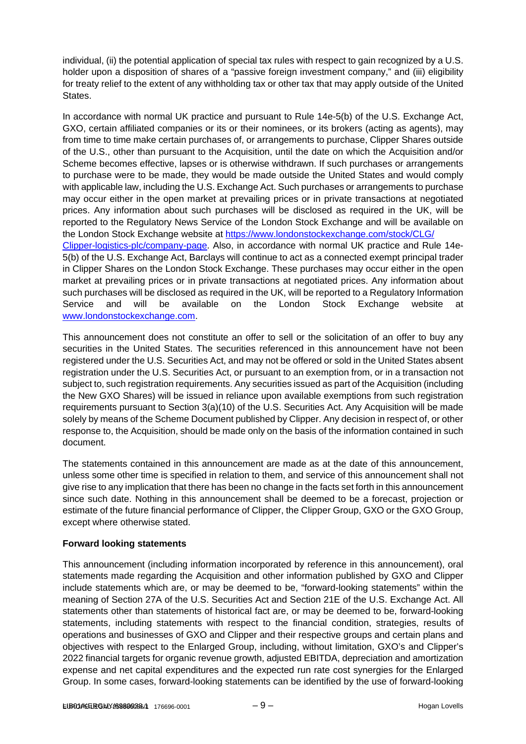individual, (ii) the potential application of special tax rules with respect to gain recognized by a U.S. holder upon a disposition of shares of a "passive foreign investment company," and (iii) eligibility for treaty relief to the extent of any withholding tax or other tax that may apply outside of the United States.

In accordance with normal UK practice and pursuant to Rule 14e-5(b) of the U.S. Exchange Act, GXO, certain affiliated companies or its or their nominees, or its brokers (acting as agents), may from time to time make certain purchases of, or arrangements to purchase, Clipper Shares outside of the U.S., other than pursuant to the Acquisition, until the date on which the Acquisition and/or Scheme becomes effective, lapses or is otherwise withdrawn. If such purchases or arrangements to purchase were to be made, they would be made outside the United States and would comply with applicable law, including the U.S. Exchange Act. Such purchases or arrangements to purchase may occur either in the open market at prevailing prices or in private transactions at negotiated prices. Any information about such purchases will be disclosed as required in the UK, will be reported to the Regulatory News Service of the London Stock Exchange and will be available on the London Stock Exchange website at [https://www.londonstockexchange.com/stock/CLG/](https://www.londonstockexchange.com/stock/CLG/Clipper-logistics-plc/company-page)  [Clipper-logistics-plc/company-page.](https://www.londonstockexchange.com/stock/CLG/Clipper-logistics-plc/company-page) Also, in accordance with normal UK practice and Rule 14e-5(b) of the U.S. Exchange Act, Barclays will continue to act as a connected exempt principal trader in Clipper Shares on the London Stock Exchange. These purchases may occur either in the open market at prevailing prices or in private transactions at negotiated prices. Any information about such purchases will be disclosed as required in the UK, will be reported to a Regulatory Information Service and will be available on the London Stock Exchange website at [www.londonstockexchange.com.](http://www.londonstockexchange.com/)

This announcement does not constitute an offer to sell or the solicitation of an offer to buy any securities in the United States. The securities referenced in this announcement have not been registered under the U.S. Securities Act, and may not be offered or sold in the United States absent registration under the U.S. Securities Act, or pursuant to an exemption from, or in a transaction not subject to, such registration requirements. Any securities issued as part of the Acquisition (including the New GXO Shares) will be issued in reliance upon available exemptions from such registration requirements pursuant to Section 3(a)(10) of the U.S. Securities Act. Any Acquisition will be made solely by means of the Scheme Document published by Clipper. Any decision in respect of, or other response to, the Acquisition, should be made only on the basis of the information contained in such document.

The statements contained in this announcement are made as at the date of this announcement, unless some other time is specified in relation to them, and service of this announcement shall not give rise to any implication that there has been no change in the facts set forth in this announcement since such date. Nothing in this announcement shall be deemed to be a forecast, projection or estimate of the future financial performance of Clipper, the Clipper Group, GXO or the GXO Group, except where otherwise stated.

# **Forward looking statements**

This announcement (including information incorporated by reference in this announcement), oral statements made regarding the Acquisition and other information published by GXO and Clipper include statements which are, or may be deemed to be, "forward-looking statements" within the meaning of Section 27A of the U.S. Securities Act and Section 21E of the U.S. Exchange Act. All statements other than statements of historical fact are, or may be deemed to be, forward-looking statements, including statements with respect to the financial condition, strategies, results of operations and businesses of GXO and Clipper and their respective groups and certain plans and objectives with respect to the Enlarged Group, including, without limitation, GXO's and Clipper's 2022 financial targets for organic revenue growth, adjusted EBITDA, depreciation and amortization expense and net capital expenditures and the expected run rate cost synergies for the Enlarged Group. In some cases, forward-looking statements can be identified by the use of forward-looking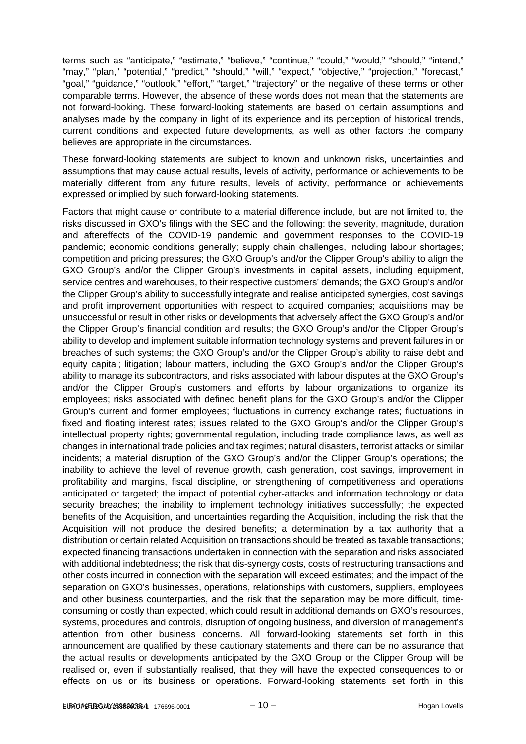terms such as "anticipate," "estimate," "believe," "continue," "could," "would," "should," "intend," "may," "plan," "potential," "predict," "should," "will," "expect," "objective," "projection," "forecast," "goal," "guidance," "outlook," "effort," "target," "trajectory" or the negative of these terms or other comparable terms. However, the absence of these words does not mean that the statements are not forward-looking. These forward-looking statements are based on certain assumptions and analyses made by the company in light of its experience and its perception of historical trends, current conditions and expected future developments, as well as other factors the company believes are appropriate in the circumstances.

These forward-looking statements are subject to known and unknown risks, uncertainties and assumptions that may cause actual results, levels of activity, performance or achievements to be materially different from any future results, levels of activity, performance or achievements expressed or implied by such forward-looking statements.

Factors that might cause or contribute to a material difference include, but are not limited to, the risks discussed in GXO's filings with the SEC and the following: the severity, magnitude, duration and aftereffects of the COVID-19 pandemic and government responses to the COVID-19 pandemic; economic conditions generally; supply chain challenges, including labour shortages; competition and pricing pressures; the GXO Group's and/or the Clipper Group's ability to align the GXO Group's and/or the Clipper Group's investments in capital assets, including equipment, service centres and warehouses, to their respective customers' demands; the GXO Group's and/or the Clipper Group's ability to successfully integrate and realise anticipated synergies, cost savings and profit improvement opportunities with respect to acquired companies; acquisitions may be unsuccessful or result in other risks or developments that adversely affect the GXO Group's and/or the Clipper Group's financial condition and results; the GXO Group's and/or the Clipper Group's ability to develop and implement suitable information technology systems and prevent failures in or breaches of such systems; the GXO Group's and/or the Clipper Group's ability to raise debt and equity capital; litigation; labour matters, including the GXO Group's and/or the Clipper Group's ability to manage its subcontractors, and risks associated with labour disputes at the GXO Group's and/or the Clipper Group's customers and efforts by labour organizations to organize its employees; risks associated with defined benefit plans for the GXO Group's and/or the Clipper Group's current and former employees; fluctuations in currency exchange rates; fluctuations in fixed and floating interest rates; issues related to the GXO Group's and/or the Clipper Group's intellectual property rights; governmental regulation, including trade compliance laws, as well as changes in international trade policies and tax regimes; natural disasters, terrorist attacks or similar incidents; a material disruption of the GXO Group's and/or the Clipper Group's operations; the inability to achieve the level of revenue growth, cash generation, cost savings, improvement in profitability and margins, fiscal discipline, or strengthening of competitiveness and operations anticipated or targeted; the impact of potential cyber-attacks and information technology or data security breaches; the inability to implement technology initiatives successfully; the expected benefits of the Acquisition, and uncertainties regarding the Acquisition, including the risk that the Acquisition will not produce the desired benefits; a determination by a tax authority that a distribution or certain related Acquisition on transactions should be treated as taxable transactions; expected financing transactions undertaken in connection with the separation and risks associated with additional indebtedness; the risk that dis-synergy costs, costs of restructuring transactions and other costs incurred in connection with the separation will exceed estimates; and the impact of the separation on GXO's businesses, operations, relationships with customers, suppliers, employees and other business counterparties, and the risk that the separation may be more difficult, timeconsuming or costly than expected, which could result in additional demands on GXO's resources, systems, procedures and controls, disruption of ongoing business, and diversion of management's attention from other business concerns. All forward-looking statements set forth in this announcement are qualified by these cautionary statements and there can be no assurance that the actual results or developments anticipated by the GXO Group or the Clipper Group will be realised or, even if substantially realised, that they will have the expected consequences to or effects on us or its business or operations. Forward-looking statements set forth in this